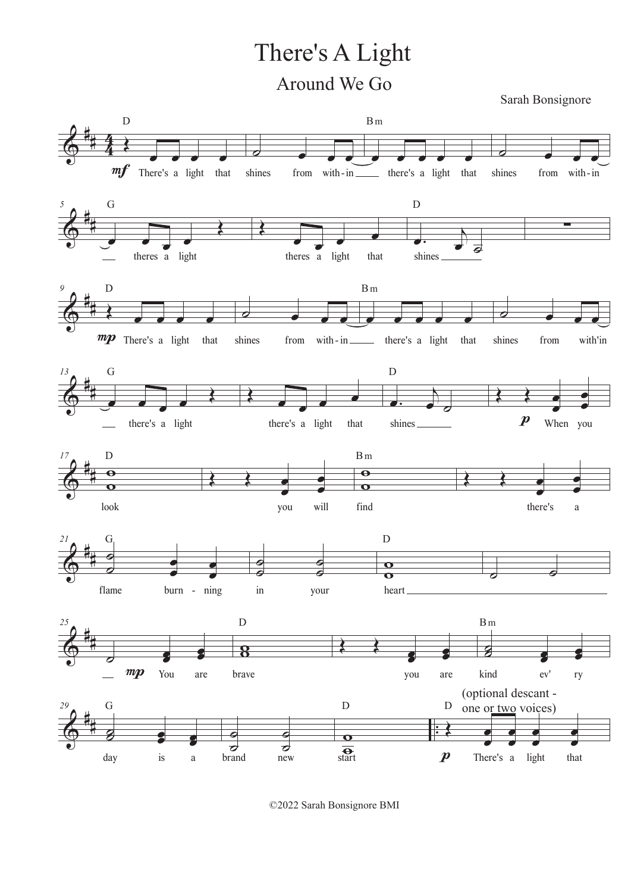## There's A Light Around We Go

Sarah Bonsignore



©2022 Sarah Bonsignore BMI